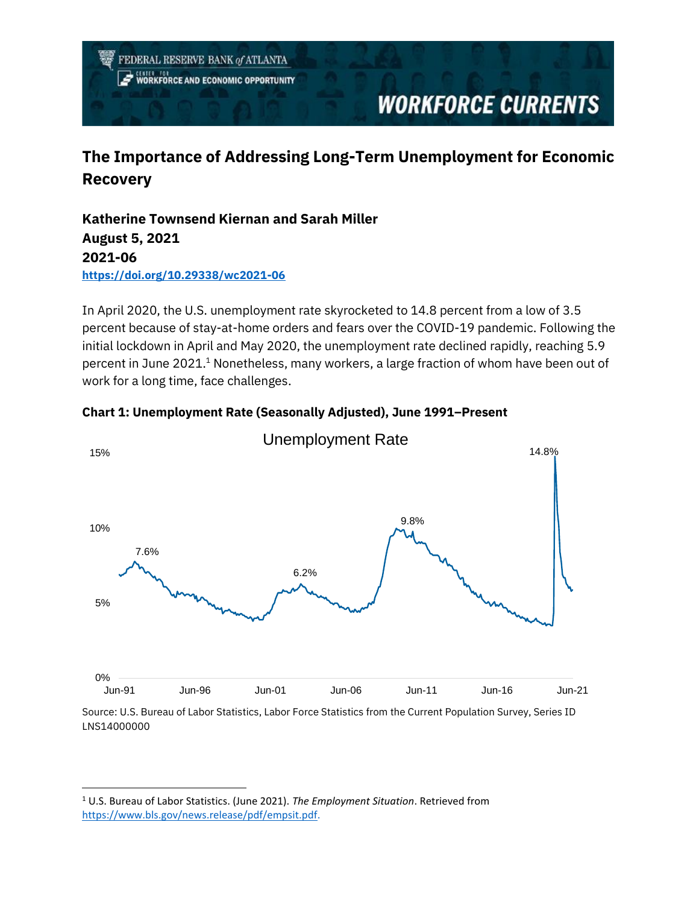FEDERAL RESERVE BANK of ATLANTA

**RKFORCE AND ECONOMIC OPPORTUNITY** 

# **WORKFORCE CURRENTS**

## **The Importance of Addressing Long-Term Unemployment for Economic Recovery**

**Katherine Townsend Kiernan and Sarah Miller August 5, 2021 2021-06 <https://doi.org/10.29338/wc2021-06>**

In April 2020, the U.S. unemployment rate skyrocketed to 14.8 percent from a low of 3.5 percent because of stay-at-home orders and fears over the COVID-19 pandemic. Following the initial lockdown in April and May 2020, the unemployment rate declined rapidly, reaching 5.9 percent in June 2021.<sup>1</sup> Nonetheless, many workers, a large fraction of whom have been out of work for a long time, face challenges.



**Chart 1: Unemployment Rate (Seasonally Adjusted), June 1991–Present**

Source: U.S. Bureau of Labor Statistics, Labor Force Statistics from the Current Population Survey, Series ID LNS14000000

<sup>1</sup> U.S. Bureau of Labor Statistics. (June 2021). *The Employment Situation*. Retrieved from [https://www.bls.gov/news.release/pdf/empsit.pdf.](https://www.bls.gov/news.release/pdf/empsit.pdf)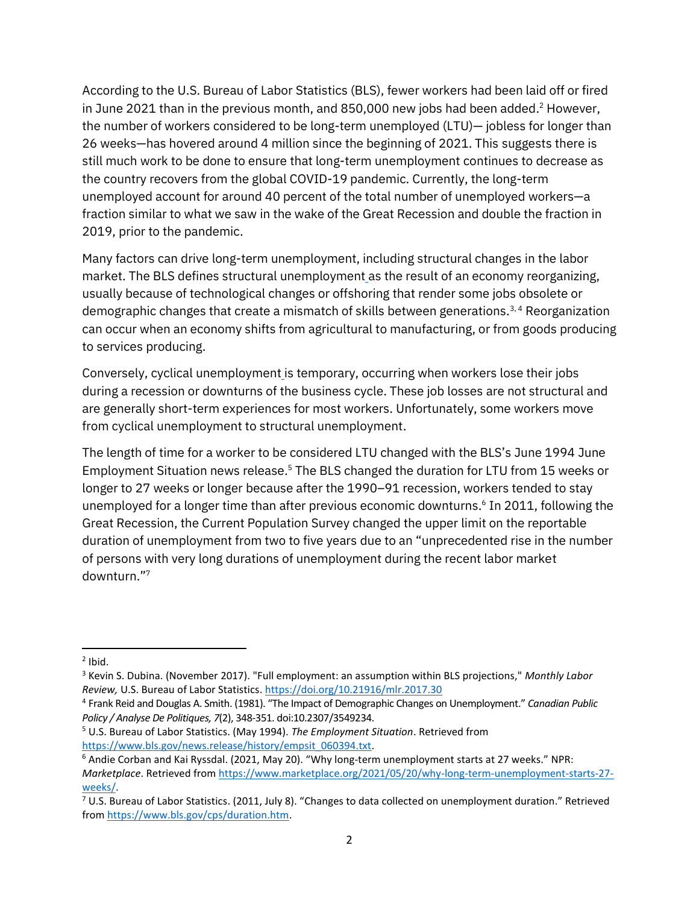According to the U.S. Bureau of Labor Statistics (BLS), fewer workers had been laid off or fired in June 2021 than in the previous month, and 850,000 new jobs had been added. <sup>2</sup> However, the number of workers considered to be long-term unemployed (LTU)— jobless for longer than 26 weeks—has hovered around 4 million since the beginning of 2021. This suggests there is still much work to be done to ensure that long-term unemployment continues to decrease as the country recovers from the global COVID-19 pandemic. Currently, the long-term unemployed account for around 40 percent of the total number of unemployed workers—a fraction similar to what we saw in the wake of the Great Recession and double the fraction in 2019, prior to the pandemic.

Many factors can drive long-term unemployment, including structural changes in the labor market. The BLS defines structural unemployment as the result of an economy reorganizing, usually because of technological changes or offshoring that render some jobs obsolete or demographic changes that create a mismatch of skills between generations.<sup>3,4</sup> Reorganization can occur when an economy shifts from agricultural to manufacturing, or from goods producing to services producing.

Conversely, cyclical unemployment is temporary, occurring when workers lose their jobs during a recession or downturns of the business cycle. These job losses are not structural and are generally short-term experiences for most workers. Unfortunately, some workers move from cyclical unemployment to structural unemployment.

The length of time for a worker to be considered LTU changed with the BLS's June 1994 June Employment Situation news release. <sup>5</sup> The BLS changed the duration for LTU from 15 weeks or longer to 27 weeks or longer because after the 1990–91 recession, workers tended to stay unemployed for a longer time than after previous economic downturns. 6 In 2011, following the Great Recession, the Current Population Survey changed the upper limit on the reportable duration of unemployment from two to five years due to an "unprecedented rise in the number of persons with very long durations of unemployment during the recent labor market downturn." 7

 $2$  Ibid.

<sup>3</sup> Kevin S. Dubina. (November 2017). "Full employment: an assumption within BLS projections," *Monthly Labor Review,* U.S. Bureau of Labor Statistics. <https://doi.org/10.21916/mlr.2017.30>

<sup>4</sup> Frank Reid and Douglas A. Smith. (1981). "The Impact of Demographic Changes on Unemployment." *Canadian Public Policy / Analyse De Politiques, 7*(2), 348-351. doi:10.2307/3549234.

<sup>5</sup> U.S. Bureau of Labor Statistics. (May 1994). *The Employment Situation*. Retrieved from [https://www.bls.gov/news.release/history/empsit\\_060394.txt.](https://www.bls.gov/news.release/history/empsit_060394.txt)

<sup>6</sup> Andie Corban and Kai Ryssdal. (2021, May 20). "Why long-term unemployment starts at 27 weeks." NPR: *Marketplace*. Retrieved fro[m https://www.marketplace.org/2021/05/20/why-long-term-unemployment-starts-27](https://www.marketplace.org/2021/05/20/why-long-term-unemployment-starts-27-weeks/) [weeks/.](https://www.marketplace.org/2021/05/20/why-long-term-unemployment-starts-27-weeks/)

 $7$  U.S. Bureau of Labor Statistics. (2011, July 8). "Changes to data collected on unemployment duration." Retrieved from [https://www.bls.gov/cps/duration.htm.](https://www.bls.gov/cps/duration.htm)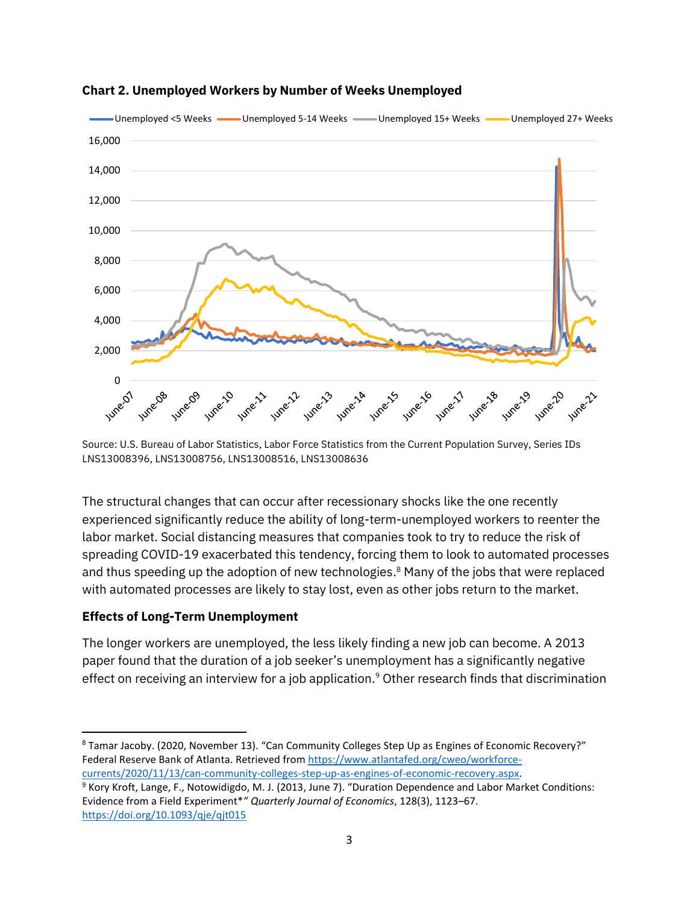

**Chart 2. Unemployed Workers by Number of Weeks Unemployed**

Source: U.S. Bureau of Labor Statistics, Labor Force Statistics from the Current Population Survey, Series IDs LNS13008396, LNS13008756, LNS13008516, LNS13008636

The structural changes that can occur after recessionary shocks like the one recently experienced significantly reduce the ability of long-term-unemployed workers to reenter the labor market. Social distancing measures that companies took to try to reduce the risk of spreading COVID-19 exacerbated this tendency, forcing them to look to automated processes and thus speeding up the adoption of new technologies. <sup>8</sup> Many of the jobs that were replaced with automated processes are likely to stay lost, even as other jobs return to the market.

## **Effects of Long-Term Unemployment**

The longer workers are unemployed, the less likely finding a new job can become. A 2013 paper found that the duration of a job seeker's unemployment has a significantly negative effect on receiving an interview for a job application.<sup>9</sup> Other research finds that discrimination

<sup>8</sup> Tamar Jacoby. (2020, November 13). "Can Community Colleges Step Up as Engines of Economic Recovery?" Federal Reserve Bank of Atlanta. Retrieved from [https://www.atlantafed.org/cweo/workforce](https://www.atlantafed.org/cweo/workforce-currents/2020/11/13/can-community-colleges-step-up-as-engines-of-economic-recovery.aspx)[currents/2020/11/13/can-community-colleges-step-up-as-engines-of-economic-recovery.aspx.](https://www.atlantafed.org/cweo/workforce-currents/2020/11/13/can-community-colleges-step-up-as-engines-of-economic-recovery.aspx)

<sup>9</sup> Kory Kroft, Lange, F., Notowidigdo, M. J. (2013, June 7). "Duration Dependence and Labor Market Conditions: Evidence from a Field Experiment\**" Quarterly Journal of Economics*, 128(3), 1123–67. <https://doi.org/10.1093/qje/qjt015>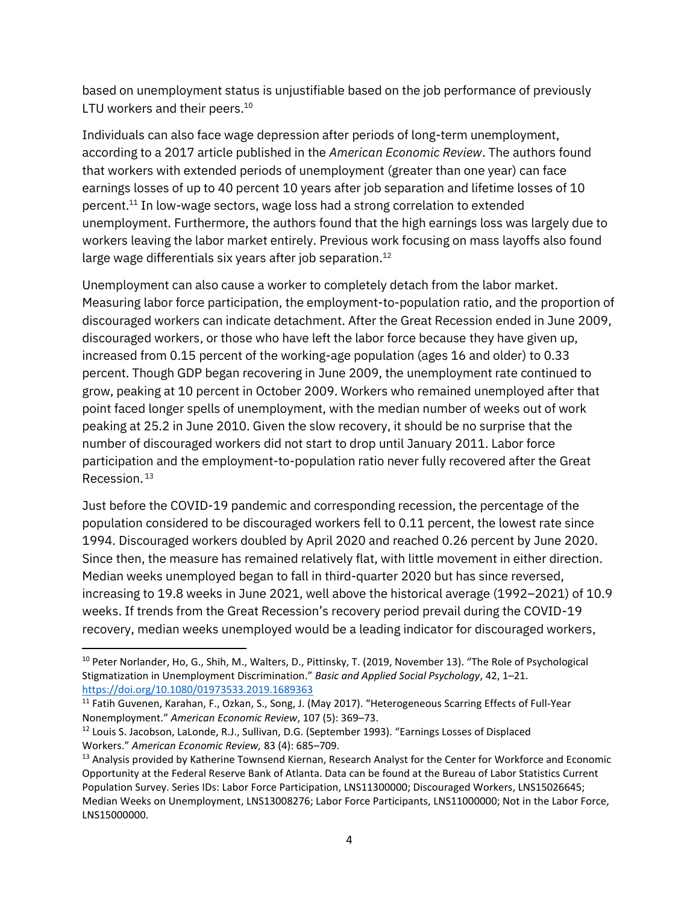based on unemployment status is unjustifiable based on the job performance of previously LTU workers and their peers.<sup>10</sup>

Individuals can also face wage depression after periods of long-term unemployment, according to a 2017 article published in the *American Economic Review*. The authors found that workers with extended periods of unemployment (greater than one year) can face earnings losses of up to 40 percent 10 years after job separation and lifetime losses of 10 percent.<sup>11</sup> In low-wage sectors, wage loss had a strong correlation to extended unemployment. Furthermore, the authors found that the high earnings loss was largely due to workers leaving the labor market entirely. Previous work focusing on mass layoffs also found large wage differentials six years after job separation.<sup>12</sup>

Unemployment can also cause a worker to completely detach from the labor market. Measuring labor force participation, the employment-to-population ratio, and the proportion of discouraged workers can indicate detachment. After the Great Recession ended in June 2009, discouraged workers, or those who have left the labor force because they have given up, increased from 0.15 percent of the working-age population (ages 16 and older) to 0.33 percent. Though GDP began recovering in June 2009, the unemployment rate continued to grow, peaking at 10 percent in October 2009. Workers who remained unemployed after that point faced longer spells of unemployment, with the median number of weeks out of work peaking at 25.2 in June 2010. Given the slow recovery, it should be no surprise that the number of discouraged workers did not start to drop until January 2011. Labor force participation and the employment-to-population ratio never fully recovered after the Great Recession. <sup>13</sup>

Just before the COVID-19 pandemic and corresponding recession, the percentage of the population considered to be discouraged workers fell to 0.11 percent, the lowest rate since 1994. Discouraged workers doubled by April 2020 and reached 0.26 percent by June 2020. Since then, the measure has remained relatively flat, with little movement in either direction. Median weeks unemployed began to fall in third-quarter 2020 but has since reversed, increasing to 19.8 weeks in June 2021, well above the historical average (1992–2021) of 10.9 weeks. If trends from the Great Recession's recovery period prevail during the COVID-19 recovery, median weeks unemployed would be a leading indicator for discouraged workers,

<sup>&</sup>lt;sup>10</sup> Peter Norlander, Ho, G., Shih, M., Walters, D., Pittinsky, T. (2019, November 13). "The Role of Psychological Stigmatization in Unemployment Discrimination." *Basic and Applied Social Psychology*, 42, 1–21. <https://doi.org/10.1080/01973533.2019.1689363>

<sup>&</sup>lt;sup>11</sup> Fatih Guvenen, Karahan, F., Ozkan, S., Song, J. (May 2017). "Heterogeneous Scarring Effects of Full-Year Nonemployment." *American Economic Review*, 107 (5): 369–73.

<sup>&</sup>lt;sup>12</sup> Louis S. Jacobson, LaLonde, R.J., Sullivan, D.G. (September 1993). "Earnings Losses of Displaced Workers." *American Economic Review,* 83 (4): 685–709.

<sup>&</sup>lt;sup>13</sup> Analysis provided by Katherine Townsend Kiernan, Research Analyst for the Center for Workforce and Economic Opportunity at the Federal Reserve Bank of Atlanta. Data can be found at the Bureau of Labor Statistics Current Population Survey. Series IDs: Labor Force Participation, LNS11300000; Discouraged Workers, LNS15026645; Median Weeks on Unemployment, LNS13008276; Labor Force Participants, LNS11000000; Not in the Labor Force, LNS15000000.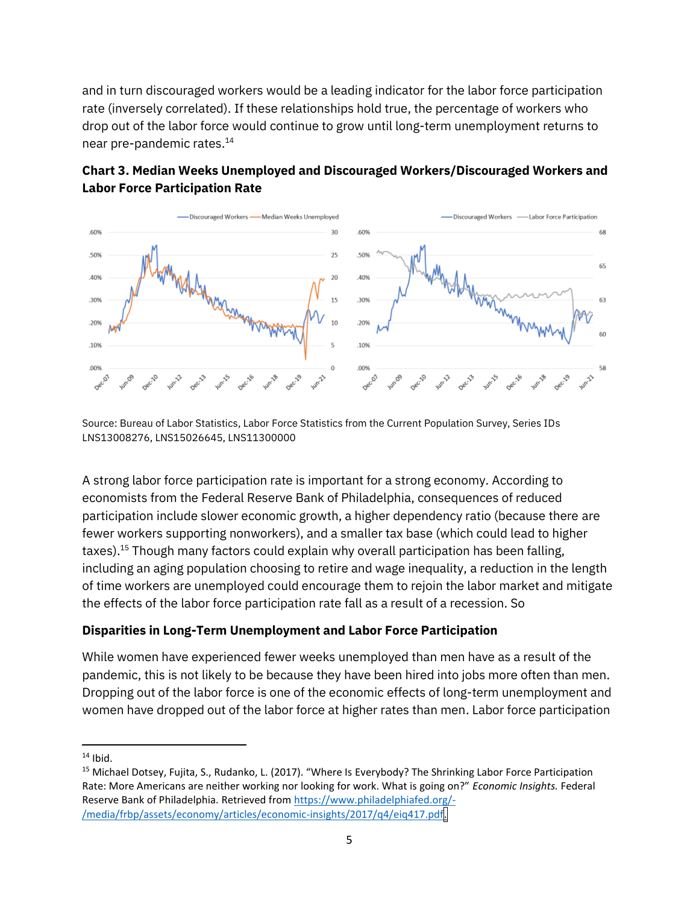and in turn discouraged workers would be a leading indicator for the labor force participation rate (inversely correlated). If these relationships hold true, the percentage of workers who drop out of the labor force would continue to grow until long-term unemployment returns to near pre-pandemic rates. 14



## **Chart 3. Median Weeks Unemployed and Discouraged Workers/Discouraged Workers and Labor Force Participation Rate**

Source: Bureau of Labor Statistics, Labor Force Statistics from the Current Population Survey, Series IDs LNS13008276, LNS15026645, LNS11300000

A strong labor force participation rate is important for a strong economy. According to economists from the Federal Reserve Bank of Philadelphia, consequences of reduced participation include slower economic growth, a higher dependency ratio (because there are fewer workers supporting nonworkers), and a smaller tax base (which could lead to higher taxes).<sup>15</sup> Though many factors could explain why overall participation has been falling, including an aging population choosing to retire and wage inequality, a reduction in the length of time workers are unemployed could encourage them to rejoin the labor market and mitigate the effects of the labor force participation rate fall as a result of a recession. So

## **Disparities in Long-Term Unemployment and Labor Force Participation**

While women have experienced fewer weeks unemployed than men have as a result of the pandemic, this is not likely to be because they have been hired into jobs more often than men. Dropping out of the labor force is one of the economic effects of long-term unemployment and women have dropped out of the labor force at higher rates than men. Labor force participation

 $14$  Ibid.

<sup>&</sup>lt;sup>15</sup> Michael Dotsey, Fujita, S., Rudanko, L. (2017). "Where Is Everybody? The Shrinking Labor Force Participation Rate: More Americans are neither working nor looking for work. What is going on?" *Economic Insights.* Federal Reserve Bank of Philadelphia. Retrieved fro[m https://www.philadelphiafed.org/-](https://www.philadelphiafed.org/-/media/frbp/assets/economy/articles/economic-insights/2017/q4/eiq417.pdf) [/media/frbp/assets/economy/articles/economic-insights/2017/q4/eiq417.pdf.](https://www.philadelphiafed.org/-/media/frbp/assets/economy/articles/economic-insights/2017/q4/eiq417.pdf)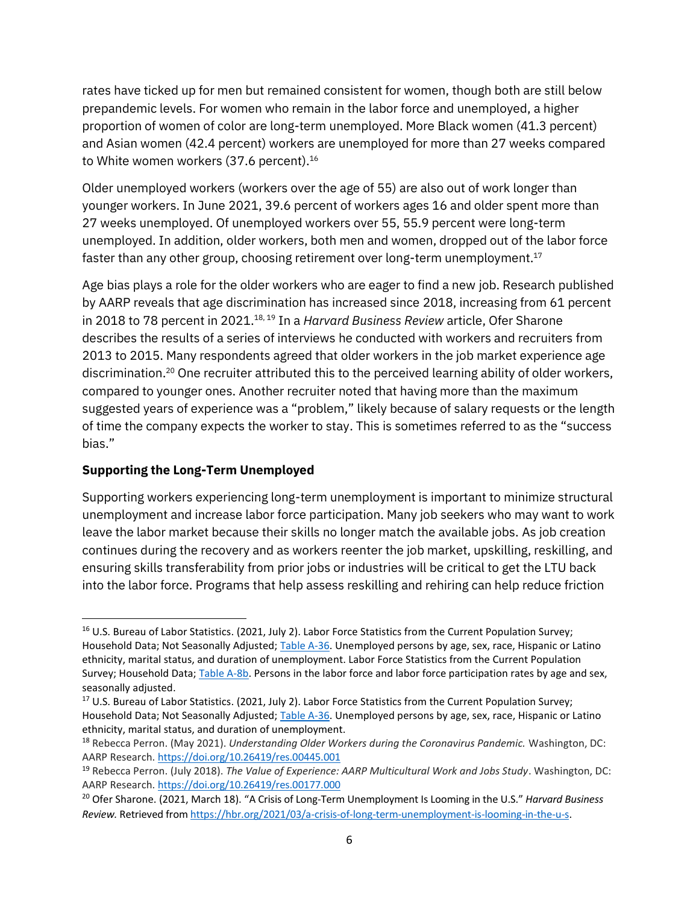rates have ticked up for men but remained consistent for women, though both are still below prepandemic levels. For women who remain in the labor force and unemployed, a higher proportion of women of color are long-term unemployed. More Black women (41.3 percent) and Asian women (42.4 percent) workers are unemployed for more than 27 weeks compared to White women workers (37.6 percent).<sup>16</sup>

Older unemployed workers (workers over the age of 55) are also out of work longer than younger workers. In June 2021, 39.6 percent of workers ages 16 and older spent more than 27 weeks unemployed. Of unemployed workers over 55, 55.9 percent were long-term unemployed. In addition, older workers, both men and women, dropped out of the labor force faster than any other group, choosing retirement over long-term unemployment. $^{17}$ 

Age bias plays a role for the older workers who are eager to find a new job. Research published by AARP reveals that age discrimination has increased since 2018, increasing from 61 percent in 2018 to 78 percent in 2021. 18, 19 In a *Harvard Business Review* article, Ofer Sharone describes the results of a series of interviews he conducted with workers and recruiters from 2013 to 2015. Many respondents agreed that older workers in the job market experience age discrimination.<sup>20</sup> One recruiter attributed this to the perceived learning ability of older workers, compared to younger ones. Another recruiter noted that having more than the maximum suggested years of experience was a "problem," likely because of salary requests or the length of time the company expects the worker to stay. This is sometimes referred to as the "success bias."

## **Supporting the Long-Term Unemployed**

Supporting workers experiencing long-term unemployment is important to minimize structural unemployment and increase labor force participation. Many job seekers who may want to work leave the labor market because their skills no longer match the available jobs. As job creation continues during the recovery and as workers reenter the job market, upskilling, reskilling, and ensuring skills transferability from prior jobs or industries will be critical to get the LTU back into the labor force. Programs that help assess reskilling and rehiring can help reduce friction

<sup>&</sup>lt;sup>16</sup> U.S. Bureau of Labor Statistics. (2021, July 2). Labor Force Statistics from the Current Population Survey; Household Data; Not Seasonally Adjusted[; Table A-36.](https://www.bls.gov/web/empsit/cpseea36.htm) Unemployed persons by age, sex, race, Hispanic or Latino ethnicity, marital status, and duration of unemployment. Labor Force Statistics from the Current Population Survey; Household Data[; Table A-8b.](https://www.bls.gov/web/empsit/cpseea08b.htm) Persons in the labor force and labor force participation rates by age and sex, seasonally adjusted.

<sup>&</sup>lt;sup>17</sup> U.S. Bureau of Labor Statistics. (2021, July 2). Labor Force Statistics from the Current Population Survey; Household Data; Not Seasonally Adjusted[; Table A-36.](https://www.bls.gov/web/empsit/cpseea36.htm) Unemployed persons by age, sex, race, Hispanic or Latino ethnicity, marital status, and duration of unemployment.

<sup>18</sup> Rebecca Perron. (May 2021). *Understanding Older Workers during the Coronavirus Pandemic.* Washington, DC: AARP Research. <https://doi.org/10.26419/res.00445.001>

<sup>19</sup> Rebecca Perron. (July 2018). *The Value of Experience: AARP Multicultural Work and Jobs Study*. Washington, DC: AARP Research. <https://doi.org/10.26419/res.00177.000>

<sup>20</sup> Ofer Sharone. (2021, March 18). "A Crisis of Long-Term Unemployment Is Looming in the U.S." *Harvard Business Review.* Retrieved from [https://hbr.org/2021/03/a-crisis-of-long-term-unemployment-is-looming-in-the-u-s.](https://hbr.org/2021/03/a-crisis-of-long-term-unemployment-is-looming-in-the-u-s)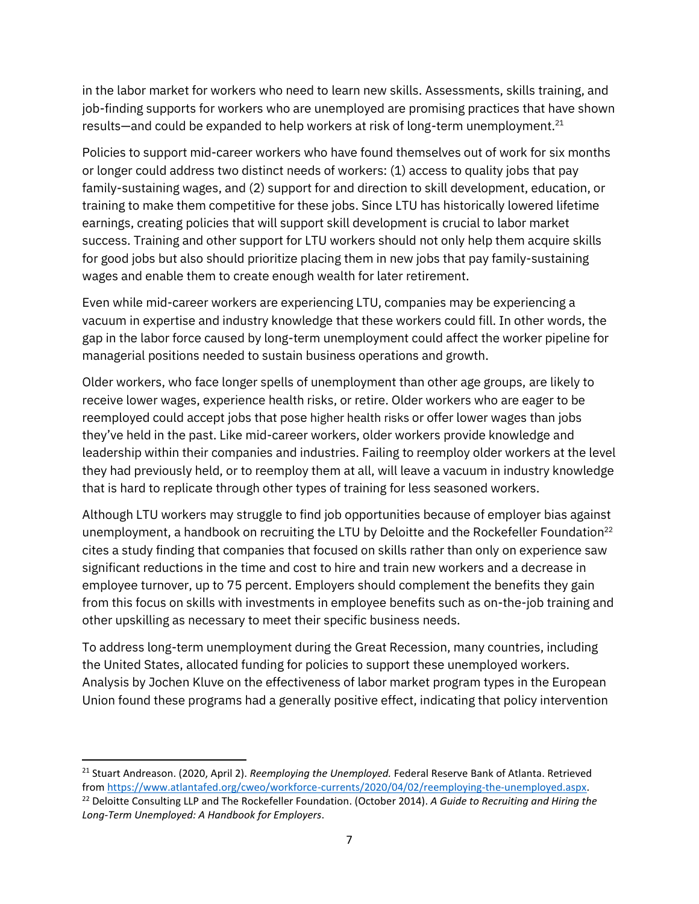in the labor market for workers who need to learn new skills. Assessments, skills training, and job-finding supports for workers who are unemployed are promising practices that have shown results—and could be expanded to help workers at risk of long-term unemployment. 21

Policies to support mid-career workers who have found themselves out of work for six months or longer could address two distinct needs of workers: (1) access to quality jobs that pay family-sustaining wages, and (2) support for and direction to skill development, education, or training to make them competitive for these jobs. Since LTU has historically lowered lifetime earnings, creating policies that will support skill development is crucial to labor market success. Training and other support for LTU workers should not only help them acquire skills for good jobs but also should prioritize placing them in new jobs that pay family-sustaining wages and enable them to create enough wealth for later retirement.

Even while mid-career workers are experiencing LTU, companies may be experiencing a vacuum in expertise and industry knowledge that these workers could fill. In other words, the gap in the labor force caused by long-term unemployment could affect the worker pipeline for managerial positions needed to sustain business operations and growth.

Older workers, who face longer spells of unemployment than other age groups, are likely to receive lower wages, experience health risks, or retire. Older workers who are eager to be reemployed could accept jobs that pose higher health risks or offer lower wages than jobs they've held in the past. Like mid-career workers, older workers provide knowledge and leadership within their companies and industries. Failing to reemploy older workers at the level they had previously held, or to reemploy them at all, will leave a vacuum in industry knowledge that is hard to replicate through other types of training for less seasoned workers.

Although LTU workers may struggle to find job opportunities because of employer bias against unemployment, a handbook on recruiting the LTU by Deloitte and the Rockefeller Foundation<sup>22</sup> cites a study finding that companies that focused on skills rather than only on experience saw significant reductions in the time and cost to hire and train new workers and a decrease in employee turnover, up to 75 percent. Employers should complement the benefits they gain from this focus on skills with investments in employee benefits such as on-the-job training and other upskilling as necessary to meet their specific business needs.

To address long-term unemployment during the Great Recession, many countries, including the United States, allocated funding for policies to support these unemployed workers. Analysis by Jochen Kluve on the effectiveness of labor market program types in the European Union found these programs had a generally positive effect, indicating that policy intervention

<sup>21</sup> Stuart Andreason. (2020, April 2). *Reemploying the Unemployed.* Federal Reserve Bank of Atlanta. Retrieved from [https://www.atlantafed.org/cweo/workforce-currents/2020/04/02/reemploying-the-unemployed.aspx.](https://www.atlantafed.org/cweo/workforce-currents/2020/04/02/reemploying-the-unemployed.aspx) <sup>22</sup> Deloitte Consulting LLP and The Rockefeller Foundation. (October 2014). *A Guide to Recruiting and Hiring the Long-Term Unemployed: A Handbook for Employers*.